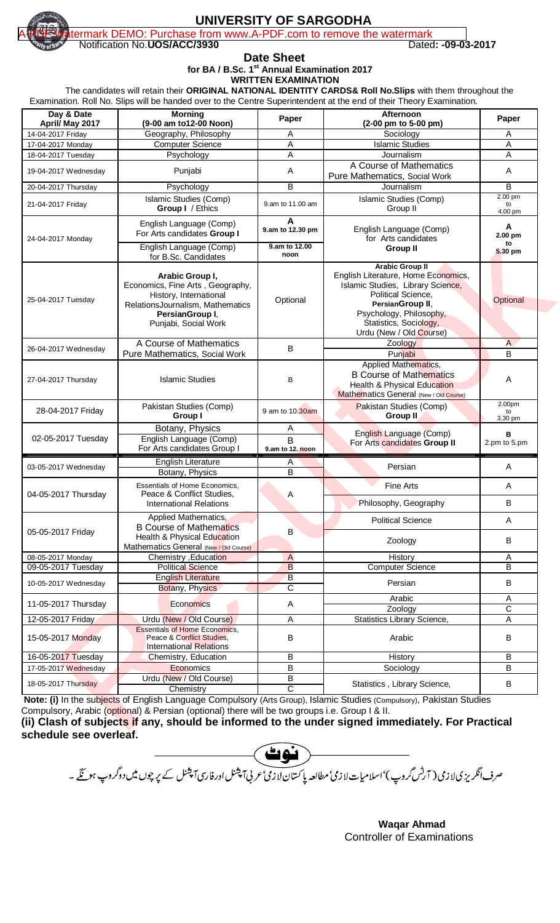

## **UNIVERSITY OF SARGODHA**

rmark DEMO: Purchase from www.A-PDF.com to remove the watermark

Notification No.**UOS/ACC/3930** Dated**: -09-03-2017**

**Date Sheet** 

**for BA / B.Sc. 1st Annual Examination 2017**

## **WRITTEN EXAMINATION**

 The candidates will retain their **ORIGINAL NATIONAL IDENTITY CARDS& Roll No.Slips** with them throughout the Examination. Roll No. Slips will be handed over to the Centre Superintendent at the end of their Theory Examination.

| Day & Date<br>April/ May 2017 | <b>Morning</b><br>(9-00 am to12-00 Noon)                                                                                                                                                                                                                                                                                                                                                                 | Paper                      | Afternoon<br>(2-00 pm to 5-00 pm)                                                                                                      | Paper<br>A               |  |
|-------------------------------|----------------------------------------------------------------------------------------------------------------------------------------------------------------------------------------------------------------------------------------------------------------------------------------------------------------------------------------------------------------------------------------------------------|----------------------------|----------------------------------------------------------------------------------------------------------------------------------------|--------------------------|--|
| 14-04-2017 Friday             | Geography, Philosophy                                                                                                                                                                                                                                                                                                                                                                                    | Α                          | Sociology                                                                                                                              |                          |  |
| 17-04-2017 Monday             | <b>Computer Science</b>                                                                                                                                                                                                                                                                                                                                                                                  | Α                          | <b>Islamic Studies</b>                                                                                                                 | A                        |  |
| 18-04-2017 Tuesday            | Psychology                                                                                                                                                                                                                                                                                                                                                                                               | A                          | Journalism                                                                                                                             | A                        |  |
| 19-04-2017 Wednesday          | Punjabi                                                                                                                                                                                                                                                                                                                                                                                                  | Α                          | A Course of Mathematics<br>Pure Mathematics, Social Work                                                                               | Α                        |  |
| 20-04-2017 Thursday           | Psychology                                                                                                                                                                                                                                                                                                                                                                                               | B                          | Journalism                                                                                                                             | B                        |  |
| 21-04-2017 Friday             | Islamic Studies (Comp)<br>Group I / Ethics                                                                                                                                                                                                                                                                                                                                                               | 9.am to 11.00 am           | Islamic Studies (Comp)<br>Group II                                                                                                     | 2.00 pm<br>to<br>4.00 pm |  |
| 24-04-2017 Monday             | English Language (Comp)<br>For Arts candidates Group I                                                                                                                                                                                                                                                                                                                                                   | A<br>9.am to 12.30 pm      | English Language (Comp)<br>for Arts candidates                                                                                         |                          |  |
|                               | English Language (Comp)<br>for B.Sc. Candidates                                                                                                                                                                                                                                                                                                                                                          | 9.am to 12.00<br>noon      | <b>Group II</b>                                                                                                                        | to<br>5.30 pm            |  |
| 25-04-2017 Tuesday            | <b>Arabic Group II</b><br>English Literature, Home Economics,<br>Arabic Group I,<br>Islamic Studies, Library Science,<br>Economics, Fine Arts, Geography,<br>Political Science,<br>History, International<br>Optional<br>PersianGroup II,<br>RelationsJournalism, Mathematics<br>Psychology, Philosophy,<br>PersianGroup I,<br>Statistics, Sociology,<br>Punjabi, Social Work<br>Urdu (New / Old Course) |                            | Optional                                                                                                                               |                          |  |
|                               | A Course of Mathematics                                                                                                                                                                                                                                                                                                                                                                                  |                            | Zoology                                                                                                                                | $\mathsf{A}$             |  |
| 26-04-2017 Wednesday          | Pure Mathematics, Social Work                                                                                                                                                                                                                                                                                                                                                                            | B                          | Punjabi                                                                                                                                | B                        |  |
| 27-04-2017 Thursday           | <b>Islamic Studies</b>                                                                                                                                                                                                                                                                                                                                                                                   | в                          | <b>Applied Mathematics,</b><br><b>B Course of Mathematics</b><br>Health & Physical Education<br>Mathematics General (New / Old Course) | Α                        |  |
| 28-04-2017 Friday             | Pakistan Studies (Comp)<br>Group I                                                                                                                                                                                                                                                                                                                                                                       | 9 am to 10.30am            | Pakistan Studies (Comp)<br><b>Group II</b>                                                                                             | 2.00pm<br>to<br>3.30 pm  |  |
| 02-05-2017 Tuesday            | Botany, Physics<br>English Language (Comp)<br>For Arts candidates Group I                                                                                                                                                                                                                                                                                                                                | Α<br>B<br>9.am to 12. noon | English Language (Comp)<br>For Arts candidates Group II                                                                                | в<br>2.pm to 5.pm        |  |
| 03-05-2017 Wednesday          | <b>English Literature</b><br>Botany, Physics                                                                                                                                                                                                                                                                                                                                                             | A<br>B                     | Persian                                                                                                                                | A                        |  |
| 04-05-2017 Thursday           | <b>Essentials of Home Economics,</b><br>Peace & Conflict Studies,                                                                                                                                                                                                                                                                                                                                        | Α                          | Fine Arts                                                                                                                              | A                        |  |
|                               | <b>International Relations</b>                                                                                                                                                                                                                                                                                                                                                                           |                            | Philosophy, Geography                                                                                                                  | В                        |  |
| 05-05-2017 Friday             | Applied Mathematics,<br><b>B Course of Mathematics</b><br>Health & Physical Education                                                                                                                                                                                                                                                                                                                    | B                          | <b>Political Science</b>                                                                                                               | A                        |  |
|                               | Mathematics General (New / Old Course)                                                                                                                                                                                                                                                                                                                                                                   |                            | Zoology                                                                                                                                | B                        |  |
| 08-05-2017 Monday             | Chemistry, Education                                                                                                                                                                                                                                                                                                                                                                                     | $\mathsf{A}$               | History                                                                                                                                | A                        |  |
| 09-05-2017 Tuesday            | <b>Political Science</b>                                                                                                                                                                                                                                                                                                                                                                                 | $\overline{B}$             | <b>Computer Science</b>                                                                                                                | B                        |  |
| 10-05-2017 Wednesday          | <b>English Literature</b><br>Botany, Physics                                                                                                                                                                                                                                                                                                                                                             | B<br>$\overline{C}$        | Persian                                                                                                                                | B                        |  |
| 11-05-2017 Thursday           | Economics                                                                                                                                                                                                                                                                                                                                                                                                | Α                          | Arabic<br>Zoology                                                                                                                      | A<br>$\overline{C}$      |  |
| 12-05-2017 Friday             | Urdu (New / Old Course)                                                                                                                                                                                                                                                                                                                                                                                  | Α                          | <b>Statistics Library Science,</b>                                                                                                     | Α                        |  |
|                               | <b>Essentials of Home Economics,</b>                                                                                                                                                                                                                                                                                                                                                                     |                            |                                                                                                                                        |                          |  |
| 15-05-2017 Monday             | Peace & Conflict Studies,<br><b>International Relations</b>                                                                                                                                                                                                                                                                                                                                              | В                          | Arabic                                                                                                                                 | B                        |  |
| 16-05-2017 Tuesday            | Chemistry, Education                                                                                                                                                                                                                                                                                                                                                                                     | В                          | History                                                                                                                                | B                        |  |
| 17-05-2017 Wednesday          | Economics                                                                                                                                                                                                                                                                                                                                                                                                | B                          | Sociology                                                                                                                              | B                        |  |
|                               | Urdu (New / Old Course)                                                                                                                                                                                                                                                                                                                                                                                  | B                          | Statistics, Library Science,                                                                                                           | B                        |  |

**schedule see overleaf.**

۔<br>صرف انگریزیلا زمی ( آرٹس گروپ )'اسلامیات لا زمیٰ مطالعہ پاکستان لازمیٰ عربی آپشنل اورفاریآ پشنل کے پر چوں میں دوگروپ ہو گئے ۔

 **Waqar Ahmad** Controller of Examinations